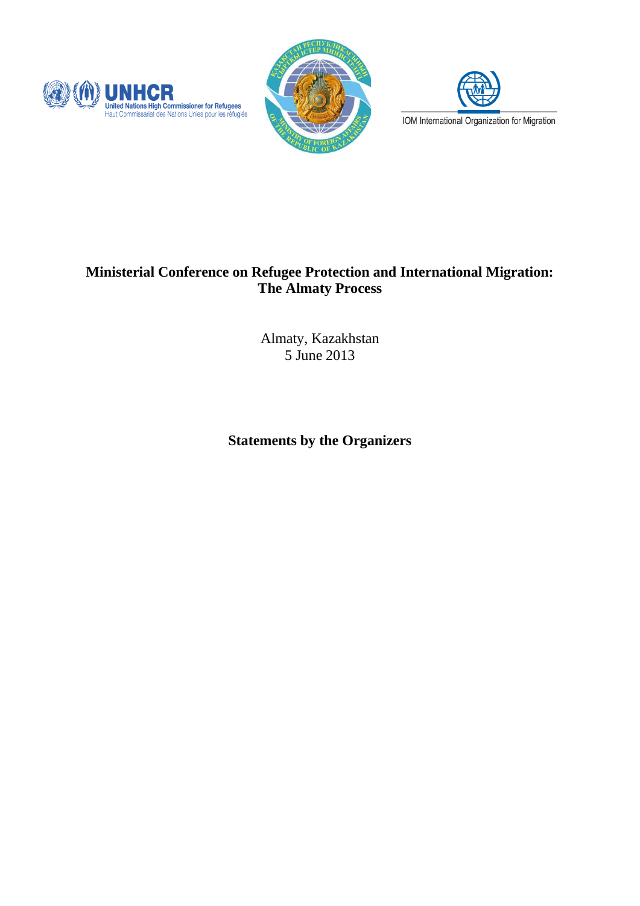





## **Ministerial Conference on Refugee Protection and International Migration: The Almaty Process**

Almaty, Kazakhstan 5 June 2013

**Statements by the Organizers**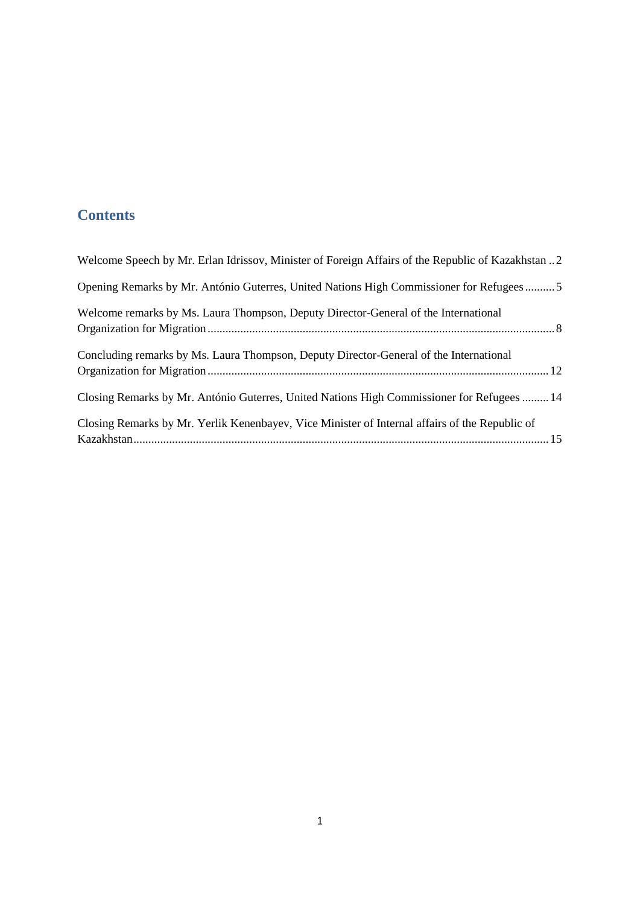# **Contents**

| Welcome Speech by Mr. Erlan Idrissov, Minister of Foreign Affairs of the Republic of Kazakhstan 2 |
|---------------------------------------------------------------------------------------------------|
| Opening Remarks by Mr. António Guterres, United Nations High Commissioner for Refugees5           |
| Welcome remarks by Ms. Laura Thompson, Deputy Director-General of the International               |
| Concluding remarks by Ms. Laura Thompson, Deputy Director-General of the International            |
| Closing Remarks by Mr. António Guterres, United Nations High Commissioner for Refugees  14        |
| Closing Remarks by Mr. Yerlik Kenenbayev, Vice Minister of Internal affairs of the Republic of    |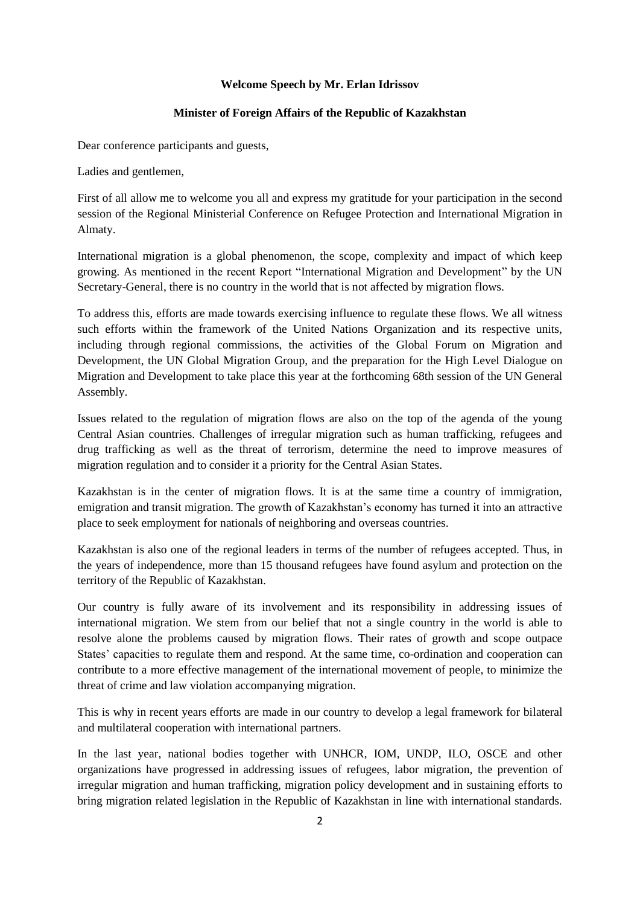### **Welcome Speech by Mr. Erlan Idrissov**

## **Minister of Foreign Affairs of the Republic of Kazakhstan**

<span id="page-2-1"></span><span id="page-2-0"></span>Dear conference participants and guests,

Ladies and gentlemen,

First of all allow me to welcome you all and express my gratitude for your participation in the second session of the Regional Ministerial Conference on Refugee Protection and International Migration in Almaty.

International migration is a global phenomenon, the scope, complexity and impact of which keep growing. As mentioned in the recent Report "International Migration and Development" by the UN Secretary-General, there is no country in the world that is not affected by migration flows.

To address this, efforts are made towards exercising influence to regulate these flows. We all witness such efforts within the framework of the United Nations Organization and its respective units, including through regional commissions, the activities of the Global Forum on Migration and Development, the UN Global Migration Group, and the preparation for the High Level Dialogue on Migration and Development to take place this year at the forthcoming 68th session of the UN General Assembly.

Issues related to the regulation of migration flows are also on the top of the agenda of the young Central Asian countries. Challenges of irregular migration such as human trafficking, refugees and drug trafficking as well as the threat of terrorism, determine the need to improve measures of migration regulation and to consider it a priority for the Central Asian States.

Kazakhstan is in the center of migration flows. It is at the same time a country of immigration, emigration and transit migration. The growth of Kazakhstan's economy has turned it into an attractive place to seek employment for nationals of neighboring and overseas countries.

Kazakhstan is also one of the regional leaders in terms of the number of refugees accepted. Thus, in the years of independence, more than 15 thousand refugees have found asylum and protection on the territory of the Republic of Kazakhstan.

Our country is fully aware of its involvement and its responsibility in addressing issues of international migration. We stem from our belief that not a single country in the world is able to resolve alone the problems caused by migration flows. Their rates of growth and scope outpace States' capacities to regulate them and respond. At the same time, co-ordination and cooperation can contribute to a more effective management of the international movement of people, to minimize the threat of crime and law violation accompanying migration.

This is why in recent years efforts are made in our country to develop a legal framework for bilateral and multilateral cooperation with international partners.

In the last year, national bodies together with UNHCR, IOM, UNDP, ILO, OSCE and other organizations have progressed in addressing issues of refugees, labor migration, the prevention of irregular migration and human trafficking, migration policy development and in sustaining efforts to bring migration related legislation in the Republic of Kazakhstan in line with international standards.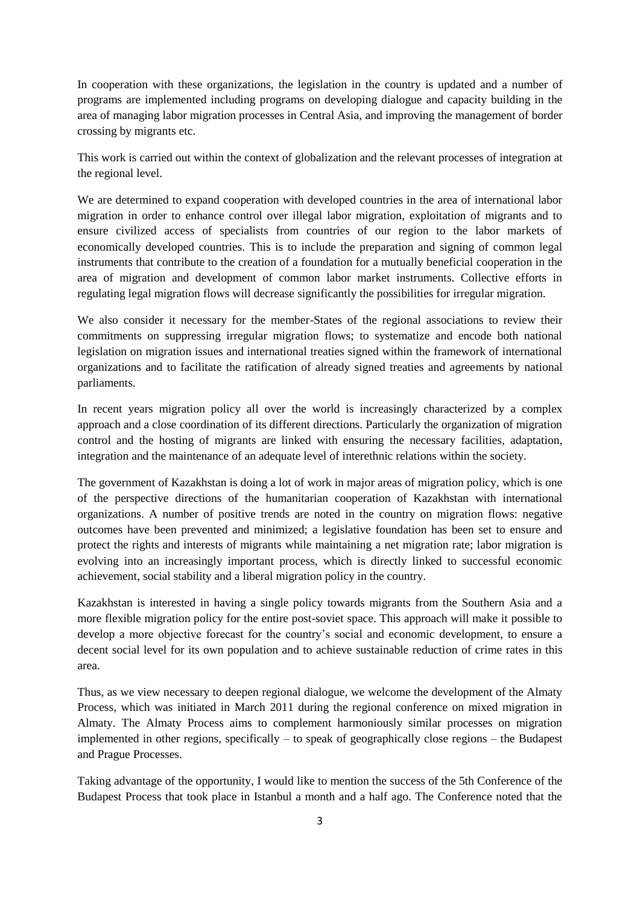In cooperation with these organizations, the legislation in the country is updated and a number of programs are implemented including programs on developing dialogue and capacity building in the area of managing labor migration processes in Central Asia, and improving the management of border crossing by migrants etc.

This work is carried out within the context of globalization and the relevant processes of integration at the regional level.

We are determined to expand cooperation with developed countries in the area of international labor migration in order to enhance control over illegal labor migration, exploitation of migrants and to ensure civilized access of specialists from countries of our region to the labor markets of economically developed countries. This is to include the preparation and signing of common legal instruments that contribute to the creation of a foundation for a mutually beneficial cooperation in the area of migration and development of common labor market instruments. Collective efforts in regulating legal migration flows will decrease significantly the possibilities for irregular migration.

We also consider it necessary for the member-States of the regional associations to review their commitments on suppressing irregular migration flows; to systematize and encode both national legislation on migration issues and international treaties signed within the framework of international organizations and to facilitate the ratification of already signed treaties and agreements by national parliaments.

In recent years migration policy all over the world is increasingly characterized by a complex approach and a close coordination of its different directions. Particularly the organization of migration control and the hosting of migrants are linked with ensuring the necessary facilities, adaptation, integration and the maintenance of an adequate level of interethnic relations within the society.

The government of Kazakhstan is doing a lot of work in major areas of migration policy, which is one of the perspective directions of the humanitarian cooperation of Kazakhstan with international organizations. A number of positive trends are noted in the country on migration flows: negative outcomes have been prevented and minimized; a legislative foundation has been set to ensure and protect the rights and interests of migrants while maintaining a net migration rate; labor migration is evolving into an increasingly important process, which is directly linked to successful economic achievement, social stability and a liberal migration policy in the country.

Kazakhstan is interested in having a single policy towards migrants from the Southern Asia and a more flexible migration policy for the entire post-soviet space. This approach will make it possible to develop a more objective forecast for the country's social and economic development, to ensure a decent social level for its own population and to achieve sustainable reduction of crime rates in this area.

Thus, as we view necessary to deepen regional dialogue, we welcome the development of the Almaty Process, which was initiated in March 2011 during the regional conference on mixed migration in Almaty. The Almaty Process aims to complement harmoniously similar processes on migration implemented in other regions, specifically – to speak of geographically close regions – the Budapest and Prague Processes.

Taking advantage of the opportunity, I would like to mention the success of the 5th Conference of the Budapest Process that took place in Istanbul a month and a half ago. The Conference noted that the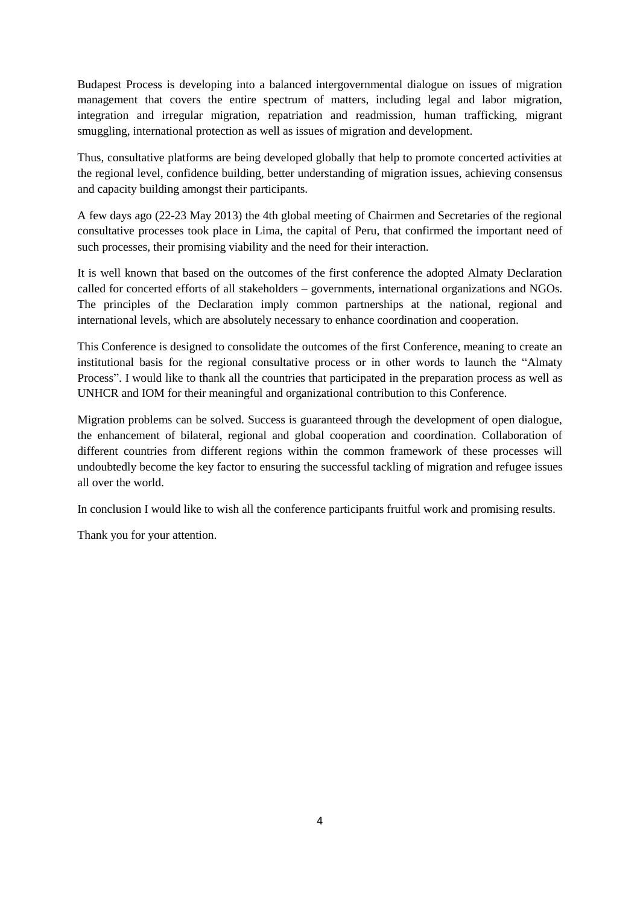Budapest Process is developing into a balanced intergovernmental dialogue on issues of migration management that covers the entire spectrum of matters, including legal and labor migration, integration and irregular migration, repatriation and readmission, human trafficking, migrant smuggling, international protection as well as issues of migration and development.

Thus, consultative platforms are being developed globally that help to promote concerted activities at the regional level, confidence building, better understanding of migration issues, achieving consensus and capacity building amongst their participants.

A few days ago (22-23 May 2013) the 4th global meeting of Chairmen and Secretaries of the regional consultative processes took place in Lima, the capital of Peru, that confirmed the important need of such processes, their promising viability and the need for their interaction.

It is well known that based on the outcomes of the first conference the adopted Almaty Declaration called for concerted efforts of all stakeholders – governments, international organizations and NGOs. The principles of the Declaration imply common partnerships at the national, regional and international levels, which are absolutely necessary to enhance coordination and cooperation.

This Conference is designed to consolidate the outcomes of the first Conference, meaning to create an institutional basis for the regional consultative process or in other words to launch the "Almaty Process". I would like to thank all the countries that participated in the preparation process as well as UNHCR and IOM for their meaningful and organizational contribution to this Conference.

Migration problems can be solved. Success is guaranteed through the development of open dialogue, the enhancement of bilateral, regional and global cooperation and coordination. Collaboration of different countries from different regions within the common framework of these processes will undoubtedly become the key factor to ensuring the successful tackling of migration and refugee issues all over the world.

In conclusion I would like to wish all the conference participants fruitful work and promising results.

Thank you for your attention.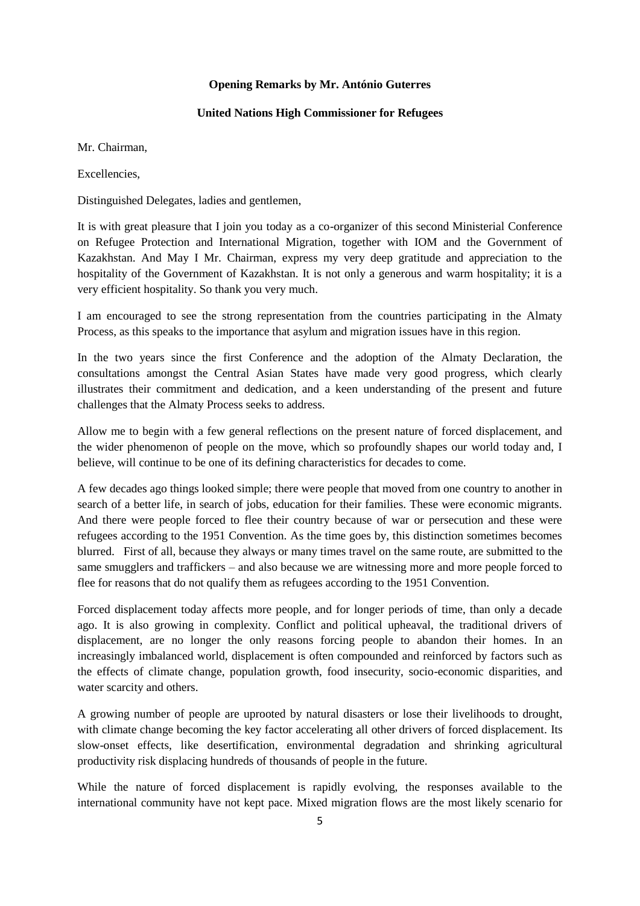#### **Opening Remarks by Mr. António Guterres**

## **United Nations High Commissioner for Refugees**

#### <span id="page-5-0"></span>Mr. Chairman,

**Excellencies** 

Distinguished Delegates, ladies and gentlemen,

It is with great pleasure that I join you today as a co-organizer of this second Ministerial Conference on Refugee Protection and International Migration, together with IOM and the Government of Kazakhstan. And May I Mr. Chairman, express my very deep gratitude and appreciation to the hospitality of the Government of Kazakhstan. It is not only a generous and warm hospitality; it is a very efficient hospitality. So thank you very much.

I am encouraged to see the strong representation from the countries participating in the Almaty Process, as this speaks to the importance that asylum and migration issues have in this region.

In the two years since the first Conference and the adoption of the Almaty Declaration, the consultations amongst the Central Asian States have made very good progress, which clearly illustrates their commitment and dedication, and a keen understanding of the present and future challenges that the Almaty Process seeks to address.

Allow me to begin with a few general reflections on the present nature of forced displacement, and the wider phenomenon of people on the move, which so profoundly shapes our world today and, I believe, will continue to be one of its defining characteristics for decades to come.

A few decades ago things looked simple; there were people that moved from one country to another in search of a better life, in search of jobs, education for their families. These were economic migrants. And there were people forced to flee their country because of war or persecution and these were refugees according to the 1951 Convention. As the time goes by, this distinction sometimes becomes blurred. First of all, because they always or many times travel on the same route, are submitted to the same smugglers and traffickers – and also because we are witnessing more and more people forced to flee for reasons that do not qualify them as refugees according to the 1951 Convention.

Forced displacement today affects more people, and for longer periods of time, than only a decade ago. It is also growing in complexity. Conflict and political upheaval, the traditional drivers of displacement, are no longer the only reasons forcing people to abandon their homes. In an increasingly imbalanced world, displacement is often compounded and reinforced by factors such as the effects of climate change, population growth, food insecurity, socio-economic disparities, and water scarcity and others.

A growing number of people are uprooted by natural disasters or lose their livelihoods to drought, with climate change becoming the key factor accelerating all other drivers of forced displacement. Its slow-onset effects, like desertification, environmental degradation and shrinking agricultural productivity risk displacing hundreds of thousands of people in the future.

While the nature of forced displacement is rapidly evolving, the responses available to the international community have not kept pace. Mixed migration flows are the most likely scenario for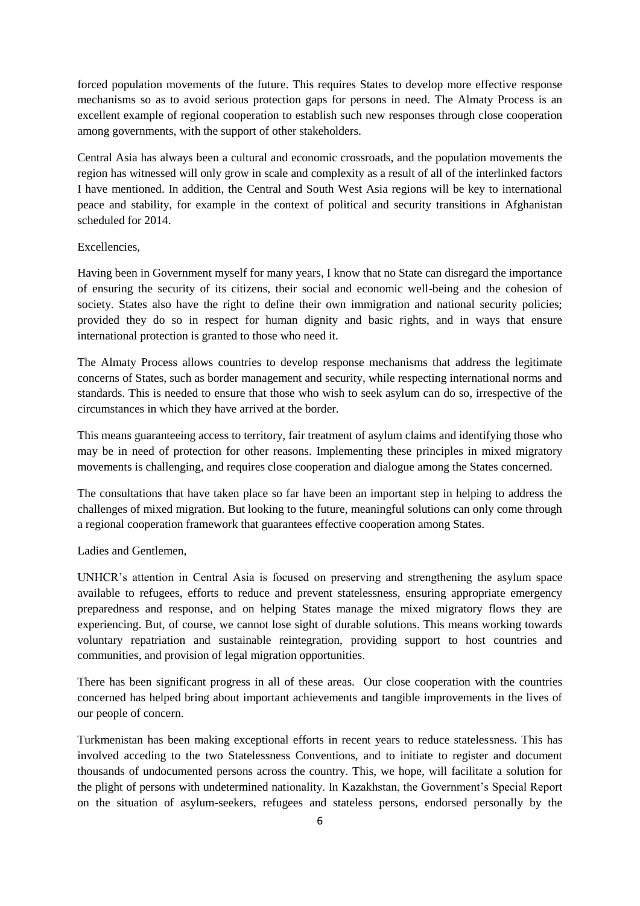forced population movements of the future. This requires States to develop more effective response mechanisms so as to avoid serious protection gaps for persons in need. The Almaty Process is an excellent example of regional cooperation to establish such new responses through close cooperation among governments, with the support of other stakeholders.

Central Asia has always been a cultural and economic crossroads, and the population movements the region has witnessed will only grow in scale and complexity as a result of all of the interlinked factors I have mentioned. In addition, the Central and South West Asia regions will be key to international peace and stability, for example in the context of political and security transitions in Afghanistan scheduled for 2014.

## Excellencies,

Having been in Government myself for many years, I know that no State can disregard the importance of ensuring the security of its citizens, their social and economic well-being and the cohesion of society. States also have the right to define their own immigration and national security policies; provided they do so in respect for human dignity and basic rights, and in ways that ensure international protection is granted to those who need it.

The Almaty Process allows countries to develop response mechanisms that address the legitimate concerns of States, such as border management and security, while respecting international norms and standards. This is needed to ensure that those who wish to seek asylum can do so, irrespective of the circumstances in which they have arrived at the border.

This means guaranteeing access to territory, fair treatment of asylum claims and identifying those who may be in need of protection for other reasons. Implementing these principles in mixed migratory movements is challenging, and requires close cooperation and dialogue among the States concerned.

The consultations that have taken place so far have been an important step in helping to address the challenges of mixed migration. But looking to the future, meaningful solutions can only come through a regional cooperation framework that guarantees effective cooperation among States.

## Ladies and Gentlemen,

UNHCR's attention in Central Asia is focused on preserving and strengthening the asylum space available to refugees, efforts to reduce and prevent statelessness, ensuring appropriate emergency preparedness and response, and on helping States manage the mixed migratory flows they are experiencing. But, of course, we cannot lose sight of durable solutions. This means working towards voluntary repatriation and sustainable reintegration, providing support to host countries and communities, and provision of legal migration opportunities.

There has been significant progress in all of these areas. Our close cooperation with the countries concerned has helped bring about important achievements and tangible improvements in the lives of our people of concern.

Turkmenistan has been making exceptional efforts in recent years to reduce statelessness. This has involved acceding to the two Statelessness Conventions, and to initiate to register and document thousands of undocumented persons across the country. This, we hope, will facilitate a solution for the plight of persons with undetermined nationality. In Kazakhstan, the Government's Special Report on the situation of asylum-seekers, refugees and stateless persons, endorsed personally by the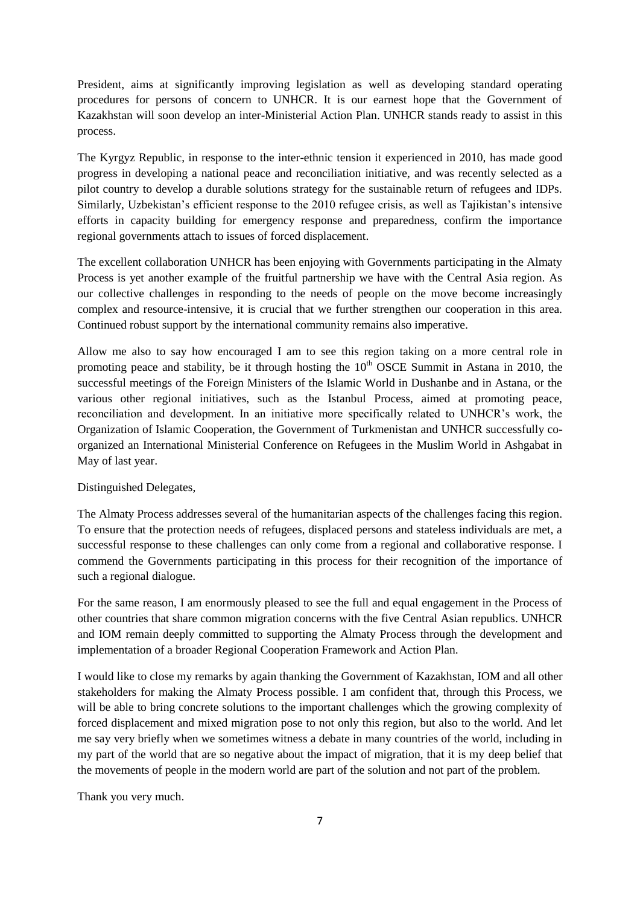President, aims at significantly improving legislation as well as developing standard operating procedures for persons of concern to UNHCR. It is our earnest hope that the Government of Kazakhstan will soon develop an inter-Ministerial Action Plan. UNHCR stands ready to assist in this process.

The Kyrgyz Republic, in response to the inter-ethnic tension it experienced in 2010, has made good progress in developing a national peace and reconciliation initiative, and was recently selected as a pilot country to develop a durable solutions strategy for the sustainable return of refugees and IDPs. Similarly, Uzbekistan's efficient response to the 2010 refugee crisis, as well as Tajikistan's intensive efforts in capacity building for emergency response and preparedness, confirm the importance regional governments attach to issues of forced displacement.

The excellent collaboration UNHCR has been enjoying with Governments participating in the Almaty Process is yet another example of the fruitful partnership we have with the Central Asia region. As our collective challenges in responding to the needs of people on the move become increasingly complex and resource-intensive, it is crucial that we further strengthen our cooperation in this area. Continued robust support by the international community remains also imperative.

Allow me also to say how encouraged I am to see this region taking on a more central role in promoting peace and stability, be it through hosting the  $10<sup>th</sup> OSCE$  Summit in Astana in 2010, the successful meetings of the Foreign Ministers of the Islamic World in Dushanbe and in Astana, or the various other regional initiatives, such as the Istanbul Process, aimed at promoting peace, reconciliation and development. In an initiative more specifically related to UNHCR's work, the Organization of Islamic Cooperation, the Government of Turkmenistan and UNHCR successfully coorganized an International Ministerial Conference on Refugees in the Muslim World in Ashgabat in May of last year.

## Distinguished Delegates,

The Almaty Process addresses several of the humanitarian aspects of the challenges facing this region. To ensure that the protection needs of refugees, displaced persons and stateless individuals are met, a successful response to these challenges can only come from a regional and collaborative response. I commend the Governments participating in this process for their recognition of the importance of such a regional dialogue.

For the same reason, I am enormously pleased to see the full and equal engagement in the Process of other countries that share common migration concerns with the five Central Asian republics. UNHCR and IOM remain deeply committed to supporting the Almaty Process through the development and implementation of a broader Regional Cooperation Framework and Action Plan.

I would like to close my remarks by again thanking the Government of Kazakhstan, IOM and all other stakeholders for making the Almaty Process possible. I am confident that, through this Process, we will be able to bring concrete solutions to the important challenges which the growing complexity of forced displacement and mixed migration pose to not only this region, but also to the world. And let me say very briefly when we sometimes witness a debate in many countries of the world, including in my part of the world that are so negative about the impact of migration, that it is my deep belief that the movements of people in the modern world are part of the solution and not part of the problem.

Thank you very much.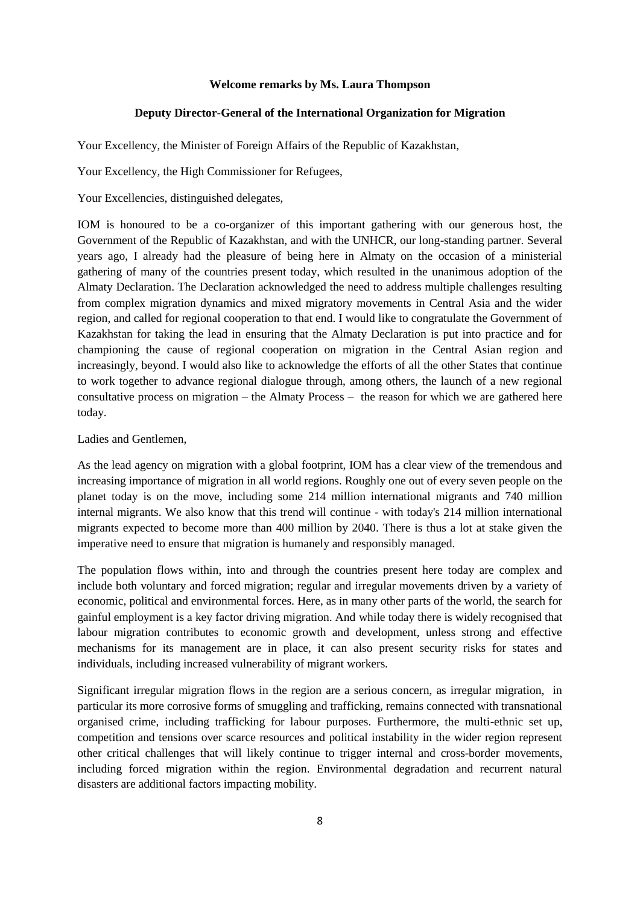### **Welcome remarks by Ms. Laura Thompson**

### **Deputy Director-General of the International Organization for Migration**

<span id="page-8-1"></span><span id="page-8-0"></span>Your Excellency, the Minister of Foreign Affairs of the Republic of Kazakhstan,

Your Excellency, the High Commissioner for Refugees,

Your Excellencies, distinguished delegates,

IOM is honoured to be a co-organizer of this important gathering with our generous host, the Government of the Republic of Kazakhstan, and with the UNHCR, our long-standing partner. Several years ago, I already had the pleasure of being here in Almaty on the occasion of a ministerial gathering of many of the countries present today, which resulted in the unanimous adoption of the Almaty Declaration. The Declaration acknowledged the need to address multiple challenges resulting from complex migration dynamics and mixed migratory movements in Central Asia and the wider region, and called for regional cooperation to that end. I would like to congratulate the Government of Kazakhstan for taking the lead in ensuring that the Almaty Declaration is put into practice and for championing the cause of regional cooperation on migration in the Central Asian region and increasingly, beyond. I would also like to acknowledge the efforts of all the other States that continue to work together to advance regional dialogue through, among others, the launch of a new regional consultative process on migration – the Almaty Process – the reason for which we are gathered here today.

Ladies and Gentlemen,

As the lead agency on migration with a global footprint, IOM has a clear view of the tremendous and increasing importance of migration in all world regions. Roughly one out of every seven people on the planet today is on the move, including some 214 million international migrants and 740 million internal migrants. We also know that this trend will continue - with today's 214 million international migrants expected to become more than 400 million by 2040. There is thus a lot at stake given the imperative need to ensure that migration is humanely and responsibly managed.

The population flows within, into and through the countries present here today are complex and include both voluntary and forced migration; regular and irregular movements driven by a variety of economic, political and environmental forces. Here, as in many other parts of the world, the search for gainful employment is a key factor driving migration. And while today there is widely recognised that labour migration contributes to economic growth and development, unless strong and effective mechanisms for its management are in place, it can also present security risks for states and individuals, including increased vulnerability of migrant workers.

Significant irregular migration flows in the region are a serious concern, as irregular migration, in particular its more corrosive forms of smuggling and trafficking, remains connected with transnational organised crime, including trafficking for labour purposes. Furthermore, the multi-ethnic set up, competition and tensions over scarce resources and political instability in the wider region represent other critical challenges that will likely continue to trigger internal and cross-border movements, including forced migration within the region. Environmental degradation and recurrent natural disasters are additional factors impacting mobility.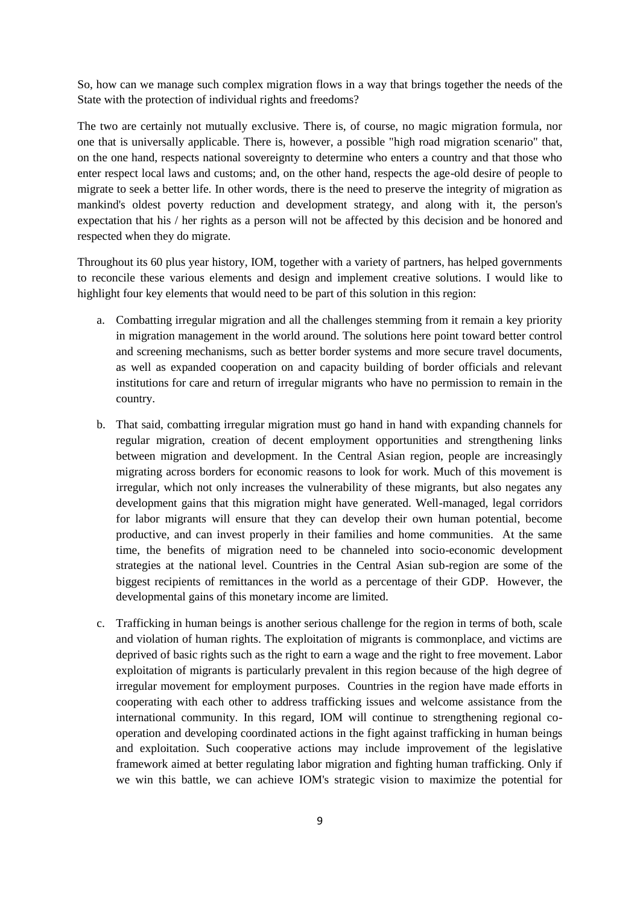So, how can we manage such complex migration flows in a way that brings together the needs of the State with the protection of individual rights and freedoms?

The two are certainly not mutually exclusive. There is, of course, no magic migration formula, nor one that is universally applicable. There is, however, a possible "high road migration scenario" that, on the one hand, respects national sovereignty to determine who enters a country and that those who enter respect local laws and customs; and, on the other hand, respects the age-old desire of people to migrate to seek a better life. In other words, there is the need to preserve the integrity of migration as mankind's oldest poverty reduction and development strategy, and along with it, the person's expectation that his / her rights as a person will not be affected by this decision and be honored and respected when they do migrate.

Throughout its 60 plus year history, IOM, together with a variety of partners, has helped governments to reconcile these various elements and design and implement creative solutions. I would like to highlight four key elements that would need to be part of this solution in this region:

- a. Combatting irregular migration and all the challenges stemming from it remain a key priority in migration management in the world around. The solutions here point toward better control and screening mechanisms, such as better border systems and more secure travel documents, as well as expanded cooperation on and capacity building of border officials and relevant institutions for care and return of irregular migrants who have no permission to remain in the country.
- b. That said, combatting irregular migration must go hand in hand with expanding channels for regular migration, creation of decent employment opportunities and strengthening links between migration and development. In the Central Asian region, people are increasingly migrating across borders for economic reasons to look for work. Much of this movement is irregular, which not only increases the vulnerability of these migrants, but also negates any development gains that this migration might have generated. Well-managed, legal corridors for labor migrants will ensure that they can develop their own human potential, become productive, and can invest properly in their families and home communities. At the same time, the benefits of migration need to be channeled into socio-economic development strategies at the national level. Countries in the Central Asian sub-region are some of the biggest recipients of remittances in the world as a percentage of their GDP. However, the developmental gains of this monetary income are limited.
- c. Trafficking in human beings is another serious challenge for the region in terms of both, scale and violation of human rights. The exploitation of migrants is commonplace, and victims are deprived of basic rights such as the right to earn a wage and the right to free movement. Labor exploitation of migrants is particularly prevalent in this region because of the high degree of irregular movement for employment purposes. Countries in the region have made efforts in cooperating with each other to address trafficking issues and welcome assistance from the international community. In this regard, IOM will continue to strengthening regional cooperation and developing coordinated actions in the fight against trafficking in human beings and exploitation. Such cooperative actions may include improvement of the legislative framework aimed at better regulating labor migration and fighting human trafficking. Only if we win this battle, we can achieve IOM's strategic vision to maximize the potential for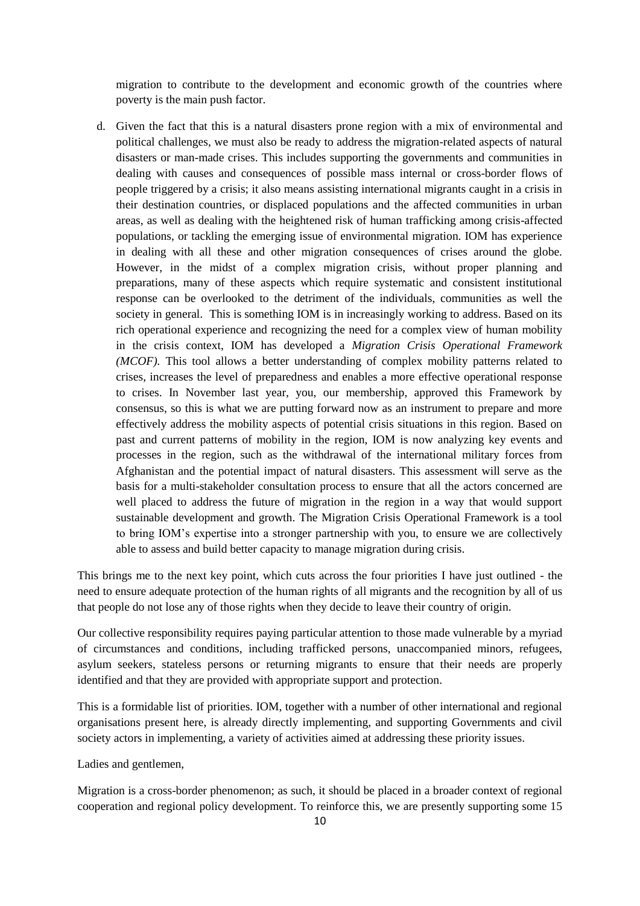migration to contribute to the development and economic growth of the countries where poverty is the main push factor.

d. Given the fact that this is a natural disasters prone region with a mix of environmental and political challenges, we must also be ready to address the migration-related aspects of natural disasters or man-made crises. This includes supporting the governments and communities in dealing with causes and consequences of possible mass internal or cross-border flows of people triggered by a crisis; it also means assisting international migrants caught in a crisis in their destination countries, or displaced populations and the affected communities in urban areas, as well as dealing with the heightened risk of human trafficking among crisis-affected populations, or tackling the emerging issue of environmental migration. IOM has experience in dealing with all these and other migration consequences of crises around the globe. However, in the midst of a complex migration crisis, without proper planning and preparations, many of these aspects which require systematic and consistent institutional response can be overlooked to the detriment of the individuals, communities as well the society in general. This is something IOM is in increasingly working to address. Based on its rich operational experience and recognizing the need for a complex view of human mobility in the crisis context, IOM has developed a *Migration Crisis Operational Framework (MCOF).* This tool allows a better understanding of complex mobility patterns related to crises, increases the level of preparedness and enables a more effective operational response to crises. In November last year, you, our membership, approved this Framework by consensus, so this is what we are putting forward now as an instrument to prepare and more effectively address the mobility aspects of potential crisis situations in this region. Based on past and current patterns of mobility in the region, IOM is now analyzing key events and processes in the region, such as the withdrawal of the international military forces from Afghanistan and the potential impact of natural disasters. This assessment will serve as the basis for a multi-stakeholder consultation process to ensure that all the actors concerned are well placed to address the future of migration in the region in a way that would support sustainable development and growth. The Migration Crisis Operational Framework is a tool to bring IOM's expertise into a stronger partnership with you, to ensure we are collectively able to assess and build better capacity to manage migration during crisis.

This brings me to the next key point, which cuts across the four priorities I have just outlined - the need to ensure adequate protection of the human rights of all migrants and the recognition by all of us that people do not lose any of those rights when they decide to leave their country of origin.

Our collective responsibility requires paying particular attention to those made vulnerable by a myriad of circumstances and conditions, including trafficked persons, unaccompanied minors, refugees, asylum seekers, stateless persons or returning migrants to ensure that their needs are properly identified and that they are provided with appropriate support and protection.

This is a formidable list of priorities. IOM, together with a number of other international and regional organisations present here, is already directly implementing, and supporting Governments and civil society actors in implementing, a variety of activities aimed at addressing these priority issues.

Ladies and gentlemen,

Migration is a cross-border phenomenon; as such, it should be placed in a broader context of regional cooperation and regional policy development. To reinforce this, we are presently supporting some 15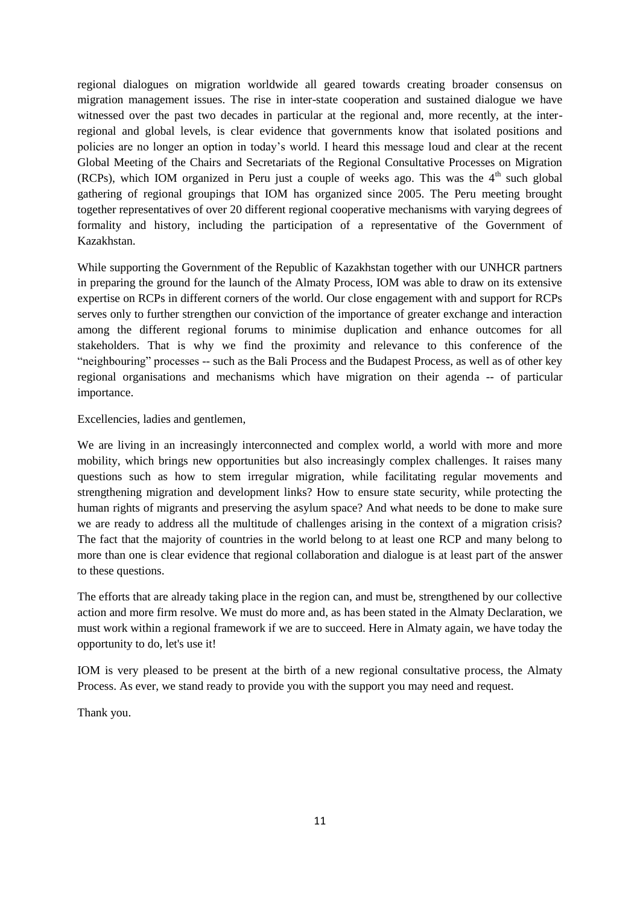regional dialogues on migration worldwide all geared towards creating broader consensus on migration management issues. The rise in inter-state cooperation and sustained dialogue we have witnessed over the past two decades in particular at the regional and, more recently, at the interregional and global levels, is clear evidence that governments know that isolated positions and policies are no longer an option in today's world. I heard this message loud and clear at the recent Global Meeting of the Chairs and Secretariats of the Regional Consultative Processes on Migration (RCPs), which IOM organized in Peru just a couple of weeks ago. This was the  $4<sup>th</sup>$  such global gathering of regional groupings that IOM has organized since 2005. The Peru meeting brought together representatives of over 20 different regional cooperative mechanisms with varying degrees of formality and history, including the participation of a representative of the Government of Kazakhstan.

While supporting the Government of the Republic of Kazakhstan together with our UNHCR partners in preparing the ground for the launch of the Almaty Process, IOM was able to draw on its extensive expertise on RCPs in different corners of the world. Our close engagement with and support for RCPs serves only to further strengthen our conviction of the importance of greater exchange and interaction among the different regional forums to minimise duplication and enhance outcomes for all stakeholders. That is why we find the proximity and relevance to this conference of the "neighbouring" processes -- such as the Bali Process and the Budapest Process, as well as of other key regional organisations and mechanisms which have migration on their agenda -- of particular importance.

Excellencies, ladies and gentlemen,

We are living in an increasingly interconnected and complex world, a world with more and more mobility, which brings new opportunities but also increasingly complex challenges. It raises many questions such as how to stem irregular migration, while facilitating regular movements and strengthening migration and development links? How to ensure state security, while protecting the human rights of migrants and preserving the asylum space? And what needs to be done to make sure we are ready to address all the multitude of challenges arising in the context of a migration crisis? The fact that the majority of countries in the world belong to at least one RCP and many belong to more than one is clear evidence that regional collaboration and dialogue is at least part of the answer to these questions.

The efforts that are already taking place in the region can, and must be, strengthened by our collective action and more firm resolve. We must do more and, as has been stated in the Almaty Declaration, we must work within a regional framework if we are to succeed. Here in Almaty again, we have today the opportunity to do, let's use it!

IOM is very pleased to be present at the birth of a new regional consultative process, the Almaty Process. As ever, we stand ready to provide you with the support you may need and request.

Thank you.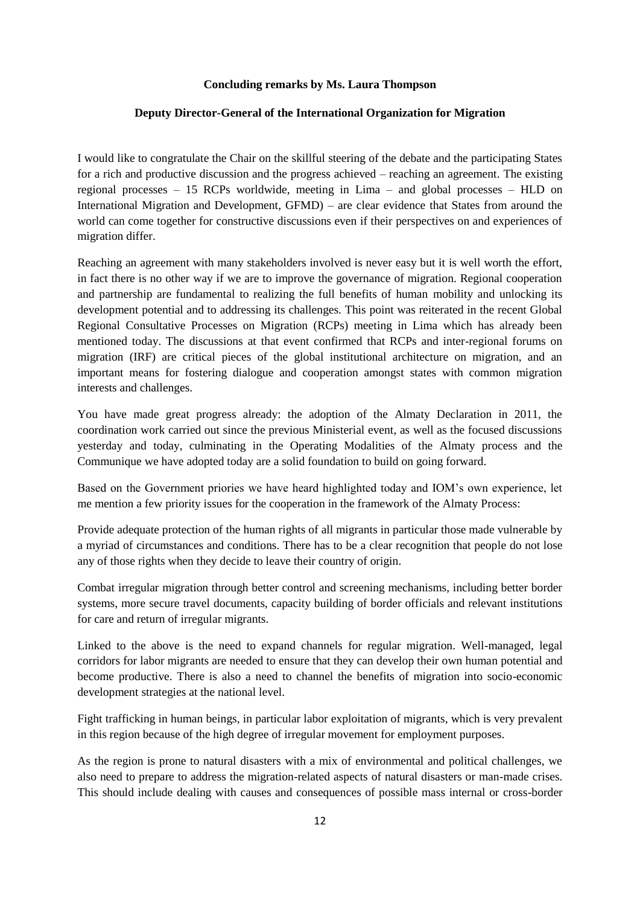#### **Concluding remarks by Ms. Laura Thompson**

## <span id="page-12-0"></span>**Deputy Director-General of the International Organization for Migration**

<span id="page-12-1"></span>I would like to congratulate the Chair on the skillful steering of the debate and the participating States for a rich and productive discussion and the progress achieved – reaching an agreement. The existing regional processes – 15 RCPs worldwide, meeting in Lima – and global processes – HLD on International Migration and Development, GFMD) – are clear evidence that States from around the world can come together for constructive discussions even if their perspectives on and experiences of migration differ.

Reaching an agreement with many stakeholders involved is never easy but it is well worth the effort, in fact there is no other way if we are to improve the governance of migration. Regional cooperation and partnership are fundamental to realizing the full benefits of human mobility and unlocking its development potential and to addressing its challenges. This point was reiterated in the recent Global Regional Consultative Processes on Migration (RCPs) meeting in Lima which has already been mentioned today. The discussions at that event confirmed that RCPs and inter-regional forums on migration (IRF) are critical pieces of the global institutional architecture on migration, and an important means for fostering dialogue and cooperation amongst states with common migration interests and challenges.

You have made great progress already: the adoption of the Almaty Declaration in 2011, the coordination work carried out since the previous Ministerial event, as well as the focused discussions yesterday and today, culminating in the Operating Modalities of the Almaty process and the Communique we have adopted today are a solid foundation to build on going forward.

Based on the Government priories we have heard highlighted today and IOM's own experience, let me mention a few priority issues for the cooperation in the framework of the Almaty Process:

Provide adequate protection of the human rights of all migrants in particular those made vulnerable by a myriad of circumstances and conditions. There has to be a clear recognition that people do not lose any of those rights when they decide to leave their country of origin.

Combat irregular migration through better control and screening mechanisms, including better border systems, more secure travel documents, capacity building of border officials and relevant institutions for care and return of irregular migrants.

Linked to the above is the need to expand channels for regular migration. Well-managed, legal corridors for labor migrants are needed to ensure that they can develop their own human potential and become productive. There is also a need to channel the benefits of migration into socio-economic development strategies at the national level.

Fight trafficking in human beings, in particular labor exploitation of migrants, which is very prevalent in this region because of the high degree of irregular movement for employment purposes.

As the region is prone to natural disasters with a mix of environmental and political challenges, we also need to prepare to address the migration-related aspects of natural disasters or man-made crises. This should include dealing with causes and consequences of possible mass internal or cross-border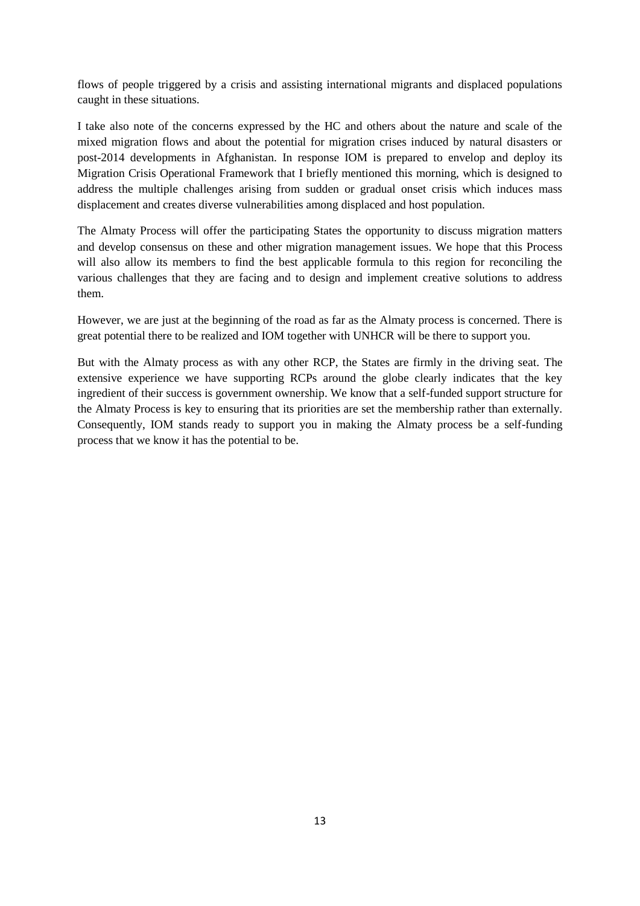flows of people triggered by a crisis and assisting international migrants and displaced populations caught in these situations.

I take also note of the concerns expressed by the HC and others about the nature and scale of the mixed migration flows and about the potential for migration crises induced by natural disasters or post-2014 developments in Afghanistan. In response IOM is prepared to envelop and deploy its Migration Crisis Operational Framework that I briefly mentioned this morning, which is designed to address the multiple challenges arising from sudden or gradual onset crisis which induces mass displacement and creates diverse vulnerabilities among displaced and host population.

The Almaty Process will offer the participating States the opportunity to discuss migration matters and develop consensus on these and other migration management issues. We hope that this Process will also allow its members to find the best applicable formula to this region for reconciling the various challenges that they are facing and to design and implement creative solutions to address them.

However, we are just at the beginning of the road as far as the Almaty process is concerned. There is great potential there to be realized and IOM together with UNHCR will be there to support you.

But with the Almaty process as with any other RCP, the States are firmly in the driving seat. The extensive experience we have supporting RCPs around the globe clearly indicates that the key ingredient of their success is government ownership. We know that a self-funded support structure for the Almaty Process is key to ensuring that its priorities are set the membership rather than externally. Consequently, IOM stands ready to support you in making the Almaty process be a self-funding process that we know it has the potential to be.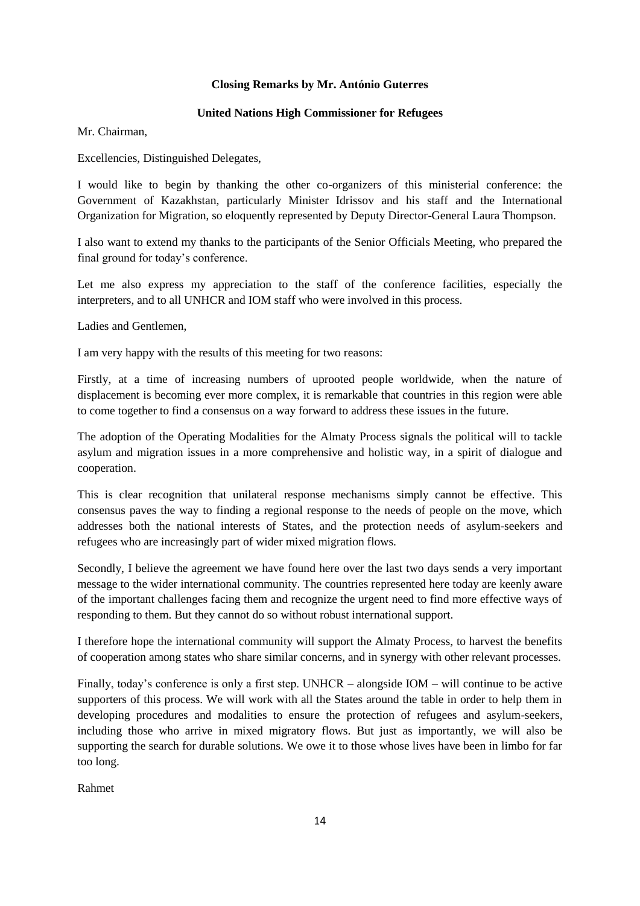## **Closing Remarks by Mr. António Guterres**

## **United Nations High Commissioner for Refugees**

<span id="page-14-1"></span><span id="page-14-0"></span>Mr. Chairman,

Excellencies, Distinguished Delegates,

I would like to begin by thanking the other co-organizers of this ministerial conference: the Government of Kazakhstan, particularly Minister Idrissov and his staff and the International Organization for Migration, so eloquently represented by Deputy Director-General Laura Thompson.

I also want to extend my thanks to the participants of the Senior Officials Meeting, who prepared the final ground for today's conference.

Let me also express my appreciation to the staff of the conference facilities, especially the interpreters, and to all UNHCR and IOM staff who were involved in this process.

Ladies and Gentlemen,

I am very happy with the results of this meeting for two reasons:

Firstly, at a time of increasing numbers of uprooted people worldwide, when the nature of displacement is becoming ever more complex, it is remarkable that countries in this region were able to come together to find a consensus on a way forward to address these issues in the future.

The adoption of the Operating Modalities for the Almaty Process signals the political will to tackle asylum and migration issues in a more comprehensive and holistic way, in a spirit of dialogue and cooperation.

This is clear recognition that unilateral response mechanisms simply cannot be effective. This consensus paves the way to finding a regional response to the needs of people on the move, which addresses both the national interests of States, and the protection needs of asylum-seekers and refugees who are increasingly part of wider mixed migration flows.

Secondly, I believe the agreement we have found here over the last two days sends a very important message to the wider international community. The countries represented here today are keenly aware of the important challenges facing them and recognize the urgent need to find more effective ways of responding to them. But they cannot do so without robust international support.

I therefore hope the international community will support the Almaty Process, to harvest the benefits of cooperation among states who share similar concerns, and in synergy with other relevant processes.

Finally, today's conference is only a first step. UNHCR – alongside IOM – will continue to be active supporters of this process. We will work with all the States around the table in order to help them in developing procedures and modalities to ensure the protection of refugees and asylum-seekers, including those who arrive in mixed migratory flows. But just as importantly, we will also be supporting the search for durable solutions. We owe it to those whose lives have been in limbo for far too long.

Rahmet